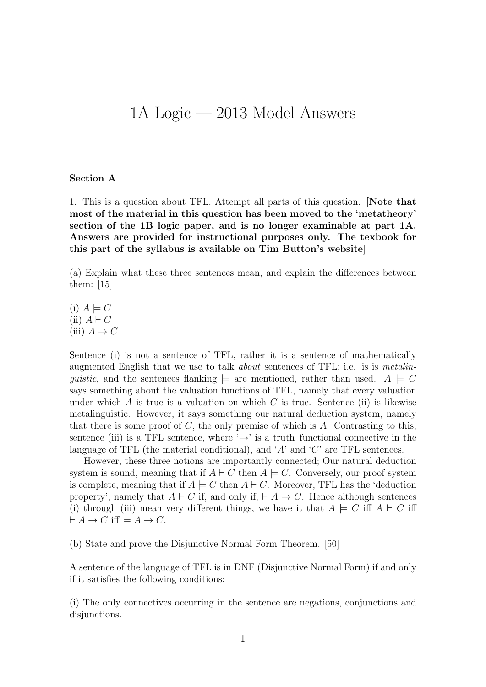## 1A Logic — 2013 Model Answers

## Section A

1. This is a question about TFL. Attempt all parts of this question. [Note that most of the material in this question has been moved to the 'metatheory' section of the 1B logic paper, and is no longer examinable at part 1A. Answers are provided for instructional purposes only. The texbook for this part of the syllabus is available on Tim Button's website]

(a) Explain what these three sentences mean, and explain the differences between them: [15]

 $(i)$   $A \models C$ (ii)  $A \vdash C$ (iii)  $A \to C$ 

Sentence (i) is not a sentence of TFL, rather it is a sentence of mathematically augmented English that we use to talk *about* sentences of TFL; i.e. is is *metalin*guistic, and the sentences flanking  $\models$  are mentioned, rather than used.  $A \models C$ says something about the valuation functions of TFL, namely that every valuation under which A is true is a valuation on which C is true. Sentence (ii) is likewise metalinguistic. However, it says something our natural deduction system, namely that there is some proof of  $C$ , the only premise of which is  $A$ . Contrasting to this, sentence (iii) is a TFL sentence, where  $\rightarrow$  is a truth–functional connective in the language of TFL (the material conditional), and 'A' and 'C' are TFL sentences.

However, these three notions are importantly connected; Our natural deduction system is sound, meaning that if  $A \vdash C$  then  $A \models C$ . Conversely, our proof system is complete, meaning that if  $A \models C$  then  $A \vdash C$ . Moreover, TFL has the 'deduction property', namely that  $A \vdash C$  if, and only if,  $\vdash A \rightarrow C$ . Hence although sentences (i) through (iii) mean very different things, we have it that  $A \models C$  iff  $A \vdash C$  iff  $\vdash A \to C$  iff  $\models A \to C$ .

(b) State and prove the Disjunctive Normal Form Theorem. [50]

A sentence of the language of TFL is in DNF (Disjunctive Normal Form) if and only if it satisfies the following conditions:

(i) The only connectives occurring in the sentence are negations, conjunctions and disjunctions.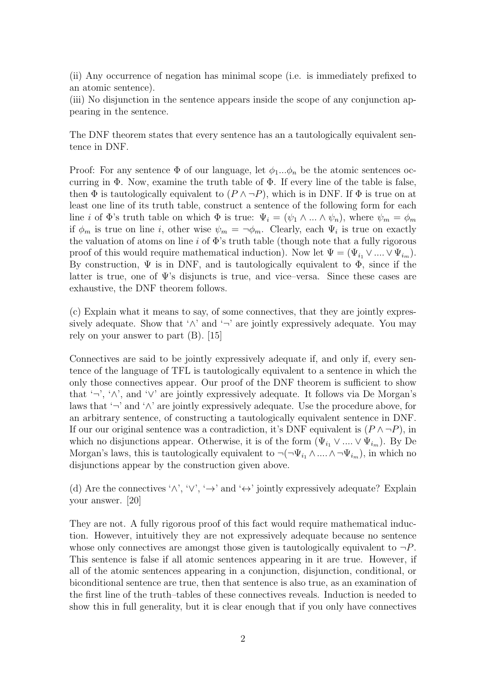(ii) Any occurrence of negation has minimal scope (i.e. is immediately prefixed to an atomic sentence).

(iii) No disjunction in the sentence appears inside the scope of any conjunction appearing in the sentence.

The DNF theorem states that every sentence has an a tautologically equivalent sentence in DNF.

Proof: For any sentence  $\Phi$  of our language, let  $\phi_1...\phi_n$  be the atomic sentences occurring in  $\Phi$ . Now, examine the truth table of  $\Phi$ . If every line of the table is false, then  $\Phi$  is tautologically equivalent to  $(P \land \neg P)$ , which is in DNF. If  $\Phi$  is true on at least one line of its truth table, construct a sentence of the following form for each line i of  $\Phi$ 's truth table on which  $\Phi$  is true:  $\Psi_i = (\psi_1 \wedge ... \wedge \psi_n)$ , where  $\psi_m = \phi_m$ if  $\phi_m$  is true on line *i*, other wise  $\psi_m = \neg \phi_m$ . Clearly, each  $\Psi_i$  is true on exactly the valuation of atoms on line  $i$  of  $\Phi$ 's truth table (though note that a fully rigorous proof of this would require mathematical induction). Now let  $\Psi = (\Psi_{i_1} \vee ... \vee \Psi_{i_m}).$ By construction,  $\Psi$  is in DNF, and is tautologically equivalent to  $\Phi$ , since if the latter is true, one of  $\Psi$ 's disjuncts is true, and vice–versa. Since these cases are exhaustive, the DNF theorem follows.

(c) Explain what it means to say, of some connectives, that they are jointly expressively adequate. Show that ' $\wedge$ ' and ' $\neg$ ' are jointly expressively adequate. You may rely on your answer to part (B). [15]

Connectives are said to be jointly expressively adequate if, and only if, every sentence of the language of TFL is tautologically equivalent to a sentence in which the only those connectives appear. Our proof of the DNF theorem is sufficient to show that '¬', '∧', and '∨' are jointly expressively adequate. It follows via De Morgan's laws that '¬' and '∧' are jointly expressively adequate. Use the procedure above, for an arbitrary sentence, of constructing a tautologically equivalent sentence in DNF. If our our original sentence was a contradiction, it's DNF equivalent is  $(P \wedge \neg P)$ , in which no disjunctions appear. Otherwise, it is of the form  $(\Psi_{i_1} \vee ... \vee \Psi_{i_m})$ . By De Morgan's laws, this is tautologically equivalent to  $\neg(\neg \Psi_{i_1} \land ... \land \neg \Psi_{i_m})$ , in which no disjunctions appear by the construction given above.

(d) Are the connectives ' $\wedge$ ', ' $\vee$ ', ' $\rightarrow$ ' and ' $\leftrightarrow$ ' jointly expressively adequate? Explain your answer. [20]

They are not. A fully rigorous proof of this fact would require mathematical induction. However, intuitively they are not expressively adequate because no sentence whose only connectives are amongst those given is tautologically equivalent to  $\neg P$ . This sentence is false if all atomic sentences appearing in it are true. However, if all of the atomic sentences appearing in a conjunction, disjunction, conditional, or biconditional sentence are true, then that sentence is also true, as an examination of the first line of the truth–tables of these connectives reveals. Induction is needed to show this in full generality, but it is clear enough that if you only have connectives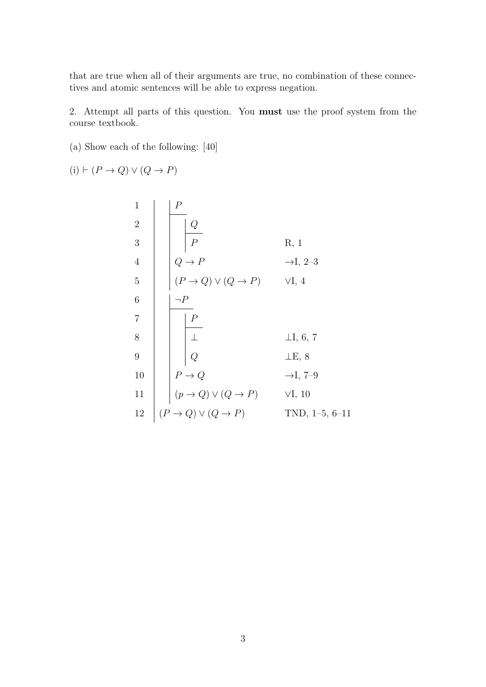that are true when all of their arguments are true, no combination of these connectives and atomic sentences will be able to express negation.

2. Attempt all parts of this question. You must use the proof system from the course textbook.

(a) Show each of the following: [40]

 $(i) \vdash (P \rightarrow Q) \lor (Q \rightarrow P)$ 

1  
\n2  
\n3  
\n4  
\n4  
\n6  
\n7  
\n8  
\n10  
\n
$$
P
$$
  
\n8  
\n11  
\n $Q \rightarrow P$   
\n9  
\n10  
\n $P$   
\n11  
\n $P$   
\n12  
\n $(P \rightarrow Q) \lor (Q \rightarrow P)$   
\n $Q$   
\n $Q$   
\n $Q$   
\n $Q$   
\n $Q$   
\n $Q$   
\n $Q$   
\n $Q$   
\n $Q$   
\n $Q$   
\n $Q$   
\n $Q$   
\n $Q$   
\n $Q$   
\n $Q$   
\n $Q$   
\n $Q$   
\n $Q$   
\n $Q$   
\n $Q$   
\n $Q$   
\n $Q$   
\n $Q$   
\n $Q$   
\n $Q$   
\n $Q$   
\n $Q$   
\n $Q$   
\n $Q$   
\n $Q$   
\n $Q$   
\n $Q$   
\n $Q$   
\n $Q$   
\n $Q$   
\n $Q$   
\n $Q$   
\n $Q$   
\n $Q$   
\n $Q$   
\n $Q$   
\n $Q$   
\n $Q$   
\n $Q$   
\n $Q$   
\n $Q$   
\n $Q$   
\n $Q$   
\n $Q$   
\n $Q$   
\n $Q$   
\n $Q$   
\n $Q$   
\n $Q$   
\n $Q$   
\n $Q$   
\n $Q$   
\n $Q$   
\n $Q$   
\n $Q$   
\n $Q$   
\n $Q$   
\n $Q$   
\n $Q$   
\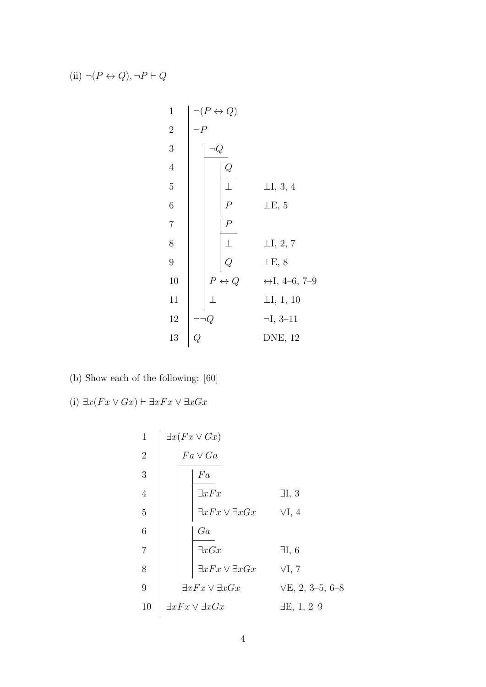(ii)  $\neg (P \leftrightarrow Q), \neg P \vdash Q$ 

1  
\n
$$
\begin{array}{c|c}\n1 & - (P \leftrightarrow Q) \\
2 & -P \\
3 & -Q \\
4 & 5 \\
6 & 6 \\
7 & 7 \\
8 & 9 \\
9 & 10 \\
11 & 12 \\
12 & -Q \\
13 & Q\n\end{array}
$$
\n  
\n $\begin{array}{c|c}\n1 & -Q \\
\hline\nQ \\
P \\
L & L, 3, 4 \\
L, 3, 4 \\
L, 3, 4 \\
L, 3, 4 \\
L, 5\n\end{array}$ \n  
\n $\begin{array}{c|c}\nP \\
P \\
L & L, 2, 7 \\
L, 2, 7 \\
L, 4-6, 7-9 \\
L, 1, 1, 10 \\
-I, 1, 10 \\
-I, 3-11 \\
13 & Q\n\end{array}$ \n  
\nDNE, 12

- (b) Show each of the following: [60]
- (i)  $\exists x(Fx \vee Gx) \vdash \exists xFx \vee \exists xGx$

1  
\n
$$
\begin{array}{c|c}\n\exists x (Fx \lor Gx) \\
2 \\
\hline\n\end{array}
$$
\n4  
\n5  
\n6  
\n7  
\n8  
\n9  
\n
$$
\begin{array}{c|cc}\n\exists xFx & \exists xGx & \forall I, 4 \\
\hline\n\exists xFx \lor \exists xGx & \forall I, 4 \\
\hline\n\exists xFx \lor \exists xGx & \exists I, 6 \\
\exists xFx \lor \exists xGx & \forall I, 7 \\
\exists xFx \lor \exists xGx & \forall E, 2, 3-5, 6-8 \\
\hline\n10 & \exists xFx \lor \exists xGx & \exists E, 1, 2-9\n\end{array}
$$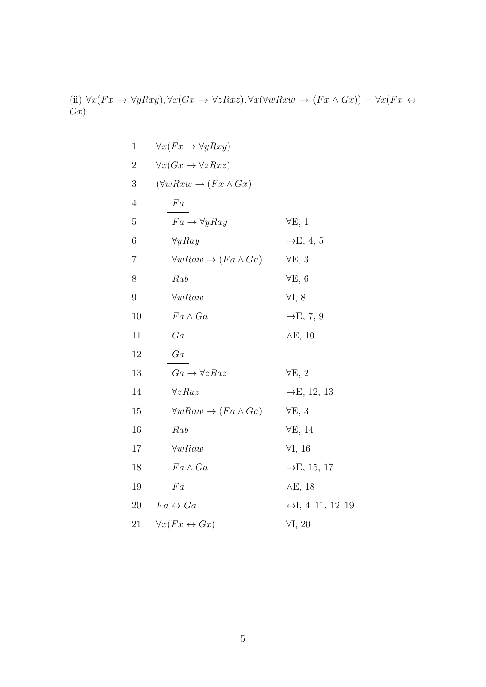(ii)  $\forall x (Fx \rightarrow \forall y Rxy), \forall x (Gx \rightarrow \forall z Rxz), \forall x (\forall w Rxw \rightarrow (Fx \land Gx)) \vdash \forall x (Fx \leftrightarrow$  $\overline{Gx}$ 

1  
\n1  
\n2  
\n
$$
\forall x (Fx \rightarrow \forall y Rxy)
$$
  
\n3  
\n $(\forall w Rxw \rightarrow (Fx \land Gx)$   
\n4  
\n5  
\n6  
\n6  
\n7  
\n8  
\n9  
\n10  
\n11  
\n12  
\n13  
\n14  
\n15  
\n16  
\n17  
\n18  
\n19  
\n10  
\n11  
\n12  
\n $\forall x Rax$   
\n $\forall x Rax$   
\n $\forall x Rax$   
\n $\forall x Rax$   
\n $\forall x Rax$   
\n $\forall x Rax$   
\n $\forall x Rax$   
\n $\forall x Rax$   
\n $\forall x Rax$   
\n $\forall x Rax$   
\n $\forall x Rax$   
\n $\forall x Rax$   
\n $\forall x Rax$   
\n $\forall x Rax$   
\n $\forall x Rax$   
\n $\forall x Rax$   
\n $\forall x Rax$   
\n $\forall x Rax$   
\n $\forall x Rax$   
\n $\forall x Rax$   
\n $\forall x Rax$   
\n $\forall x Rax$   
\n $\forall x Rax$   
\n $\forall x Rax$   
\n $\forall x Rax$   
\n $\forall x Rax$   
\n $\forall x Rax$   
\n $\forall x Rax$   
\n $\forall x Rax$   
\n $\forall x Rax$   
\n $\forall x Rax$   
\n $\forall x Rax$   
\n $\forall x Rax$   
\n $\forall x Rax$   
\n $\forall x Rax$   
\n $\forall x Rax$   
\n $\forall x Rax$   
\n $\forall x Rax$   
\n $\forall x Rax$   
\n $\forall x Rax$   
\n $\forall x Rax$   
\n $\forall x Rax$   
\n $\forall x Rax$   
\n $\forall x Rax$   
\n $\forall x Rax$   
\n $\forall x Rax$   
\n $\forall x Rax$   
\n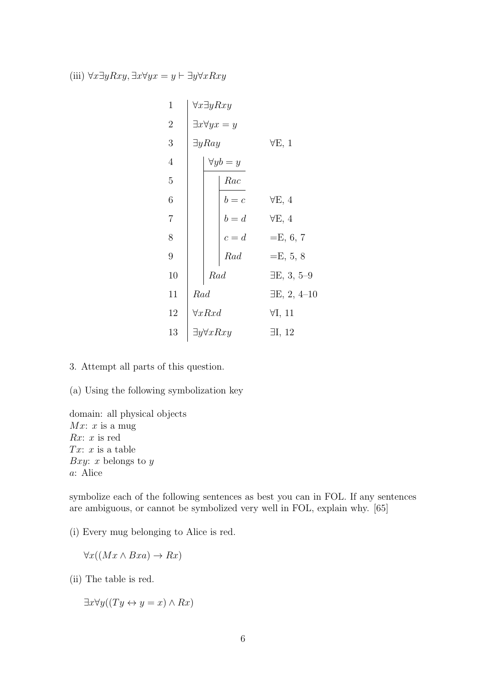(iii)  $\forall x \exists y Rxy, \exists x \forall y x = y \vdash \exists y \forall x Rxy$ 

| $\mathbf 1$    | $\forall x \exists y Rxy$       |                            |
|----------------|---------------------------------|----------------------------|
| $\overline{2}$ | $\exists x \forall y x = y$     |                            |
| 3              | $\exists y Ray$                 | $\forall E, 1$             |
| $\overline{4}$ | $\forall y b = y$               |                            |
| $\overline{5}$ | Rac                             |                            |
| 6              | $b = c$                         | $\forall E, 4$             |
| 7              | $b = d$                         | $\forall E, 4$             |
| 8              | $\boldsymbol{c}=\boldsymbol{d}$ | $=E, 6, 7$                 |
| 9              | Rad                             | $=E, 5, 8$                 |
| 10             | Rad                             | $\exists E, 3, 5\text{-}9$ |
| 11             | Rad                             | $\exists E, 2, 4-10$       |
| 12             | $\forall x R \mathit{xd}$       | $\forall I, 11$            |
| 13             | $\exists y \forall x Rxy$       | $\exists I, 12$            |
|                |                                 |                            |

- 3. Attempt all parts of this question.
- (a) Using the following symbolization key

domain: all physical objects  $Mx: x$  is a mug  $Rx: x$  is red Tx:  $x$  is a table Bxy: x belongs to  $y$ a: Alice

symbolize each of the following sentences as best you can in FOL. If any sentences are ambiguous, or cannot be symbolized very well in FOL, explain why. [65]

(i) Every mug belonging to Alice is red.

 $\forall x((Mx \land Bxa) \rightarrow Rx)$ 

(ii) The table is red.

 $\exists x \forall y ((Ty \leftrightarrow y = x) \land Rx)$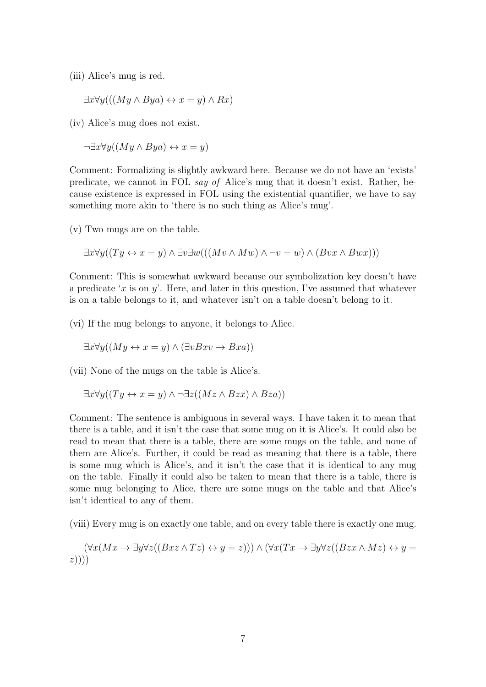(iii) Alice's mug is red.

$$
\exists x \forall y (((My \land Bya) \leftrightarrow x = y) \land Rx)
$$

(iv) Alice's mug does not exist.

 $\neg \exists x \forall y ((My \land Bya) \leftrightarrow x = y)$ 

Comment: Formalizing is slightly awkward here. Because we do not have an 'exists' predicate, we cannot in FOL say of Alice's mug that it doesn't exist. Rather, because existence is expressed in FOL using the existential quantifier, we have to say something more akin to 'there is no such thing as Alice's mug'.

(v) Two mugs are on the table.

$$
\exists x \forall y ((Ty \leftrightarrow x = y) \land \exists v \exists w (((Mv \land Mw) \land \neg v = w) \land (Bvx \land Bwx)))
$$

Comment: This is somewhat awkward because our symbolization key doesn't have a predicate 'x is on y'. Here, and later in this question, I've assumed that whatever is on a table belongs to it, and whatever isn't on a table doesn't belong to it.

(vi) If the mug belongs to anyone, it belongs to Alice.

$$
\exists x \forall y ((My \leftrightarrow x = y) \land (\exists v Bxv \rightarrow Bxa))
$$

(vii) None of the mugs on the table is Alice's.

$$
\exists x \forall y ((Ty \leftrightarrow x = y) \land \neg \exists z ((Mz \land Bzx) \land Bza))
$$

Comment: The sentence is ambiguous in several ways. I have taken it to mean that there is a table, and it isn't the case that some mug on it is Alice's. It could also be read to mean that there is a table, there are some mugs on the table, and none of them are Alice's. Further, it could be read as meaning that there is a table, there is some mug which is Alice's, and it isn't the case that it is identical to any mug on the table. Finally it could also be taken to mean that there is a table, there is some mug belonging to Alice, there are some mugs on the table and that Alice's isn't identical to any of them.

(viii) Every mug is on exactly one table, and on every table there is exactly one mug.

$$
(\forall x(Mx \to \exists y \forall z((Bxz \land Tz) \leftrightarrow y = z))) \land (\forall x(Tx \to \exists y \forall z((Bzx \land Mz) \leftrightarrow y = z))))
$$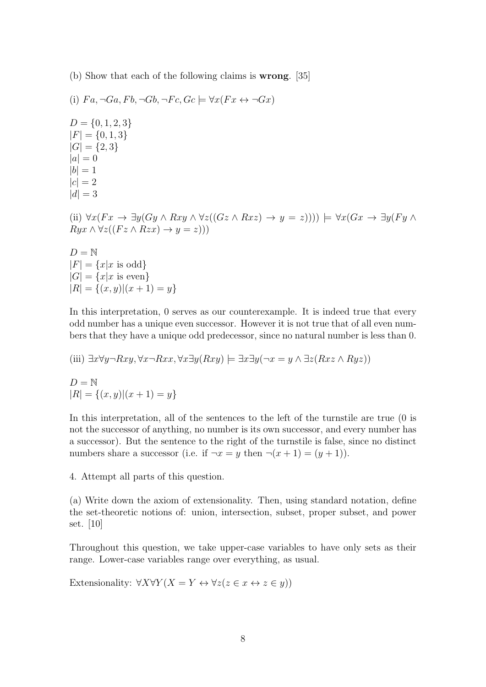(b) Show that each of the following claims is wrong. [35]

(i) 
$$
Fa, \neg Ga, Fb, \neg Gb, \neg Fc, Gc \models \forall x(Fx \leftrightarrow \neg Gx)
$$
  
\n $D = \{0, 1, 2, 3\}$   
\n $|F| = \{0, 1, 3\}$   
\n $|G| = \{2, 3\}$   
\n $|a| = 0$   
\n $|b| = 1$   
\n $|c| = 2$   
\n $|d| = 3$   
\n(ii)  $\forall x(Fx \rightarrow \exists y(Gy \land Rxy \land \forall z((Gz \land Rxz) \rightarrow y = z)))) \models \forall x(Gx \rightarrow \exists y(Fy \land Ryx \land \forall z((Fz \land Rzx) \rightarrow y = z)))$   
\n $D = \mathbb{N}$   
\n $|F| = \{x|x \text{ is odd}\}$   
\n $|G| = \{x|x \text{ is even}\}$   
\n $|R| = \{(x, y)|(x + 1) = y\}$ 

In this interpretation, 0 serves as our counterexample. It is indeed true that every odd number has a unique even successor. However it is not true that of all even numbers that they have a unique odd predecessor, since no natural number is less than 0.

(iii) 
$$
\exists x \forall y \neg Rxy, \forall x \neg Rxx, \forall x \exists y (Rxy) \models \exists x \exists y (\neg x = y \land \exists z (Rxz \land Ryz))
$$
  
\n
$$
D = \mathbb{N}
$$
\n
$$
|R| = \{(x, y) | (x + 1) = y\}
$$

In this interpretation, all of the sentences to the left of the turnstile are true (0 is not the successor of anything, no number is its own successor, and every number has a successor). But the sentence to the right of the turnstile is false, since no distinct numbers share a successor (i.e. if  $\neg x = y$  then  $\neg(x+1) = (y+1)$ ).

4. Attempt all parts of this question.

(a) Write down the axiom of extensionality. Then, using standard notation, define the set-theoretic notions of: union, intersection, subset, proper subset, and power set. [10]

Throughout this question, we take upper-case variables to have only sets as their range. Lower-case variables range over everything, as usual.

Extensionality:  $\forall X \forall Y (X = Y \leftrightarrow \forall z (z \in x \leftrightarrow z \in y))$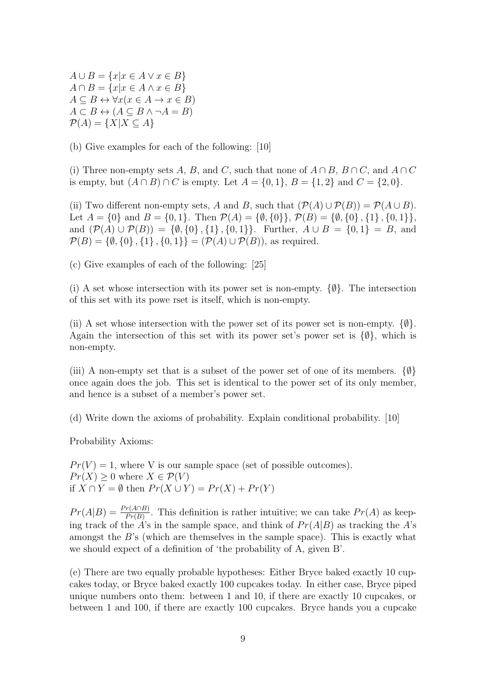$A \cup B = \{x | x \in A \lor x \in B\}$  $A \cap B = \{x | x \in A \land x \in B\}$  $A \subseteq B \leftrightarrow \forall x (x \in A \rightarrow x \in B)$  $A \subset B \leftrightarrow (A \subset B \land \neg A = B)$  $\mathcal{P}(A) = \{X | X \subseteq A\}$ 

(b) Give examples for each of the following: [10]

(i) Three non-empty sets A, B, and C, such that none of  $A \cap B$ ,  $B \cap C$ , and  $A \cap C$ is empty, but  $(A \cap B) \cap C$  is empty. Let  $A = \{0, 1\}$ ,  $B = \{1, 2\}$  and  $C = \{2, 0\}$ .

(ii) Two different non-empty sets, A and B, such that  $(\mathcal{P}(A) \cup \mathcal{P}(B)) = \mathcal{P}(A \cup B)$ . Let  $A = \{0\}$  and  $B = \{0, 1\}$ . Then  $\mathcal{P}(A) = \{\emptyset, \{0\}\}, \mathcal{P}(B) = \{\emptyset, \{0\}, \{1\}, \{0, 1\}\},\$ and  $(\mathcal{P}(A) \cup \mathcal{P}(B)) = \{\emptyset, \{0\}, \{1\}, \{0,1\}\}\$ . Further,  $A \cup B = \{0,1\} = B$ , and  $\mathcal{P}(B) = \{\emptyset, \{0\}, \{1\}, \{0,1\}\} = (\mathcal{P}(A) \cup \mathcal{P}(B))$ , as required.

(c) Give examples of each of the following: [25]

(i) A set whose intersection with its power set is non-empty.  $\{\emptyset\}$ . The intersection of this set with its powe rset is itself, which is non-empty.

(ii) A set whose intersection with the power set of its power set is non-empty.  $\{\emptyset\}$ . Again the intersection of this set with its power set's power set is  $\{\emptyset\}$ , which is non-empty.

(iii) A non-empty set that is a subset of the power set of one of its members.  $\{\emptyset\}$ once again does the job. This set is identical to the power set of its only member, and hence is a subset of a member's power set.

(d) Write down the axioms of probability. Explain conditional probability. [10]

Probability Axioms:

 $Pr(V) = 1$ , where V is our sample space (set of possible outcomes).  $Pr(X) \geq 0$  where  $X \in \mathcal{P}(V)$ if  $X \cap Y = \emptyset$  then  $Pr(X \cup Y) = Pr(X) + Pr(Y)$ 

 $Pr(A|B) = \frac{Pr(A \cap B)}{Pr(B)}$ . This definition is rather intuitive; we can take  $Pr(A)$  as keeping track of the A's in the sample space, and think of  $Pr(A|B)$  as tracking the A's amongst the B's (which are themselves in the sample space). This is exactly what we should expect of a definition of 'the probability of A, given B'.

(e) There are two equally probable hypotheses: Either Bryce baked exactly 10 cupcakes today, or Bryce baked exactly 100 cupcakes today. In either case, Bryce piped unique numbers onto them: between 1 and 10, if there are exactly 10 cupcakes, or between 1 and 100, if there are exactly 100 cupcakes. Bryce hands you a cupcake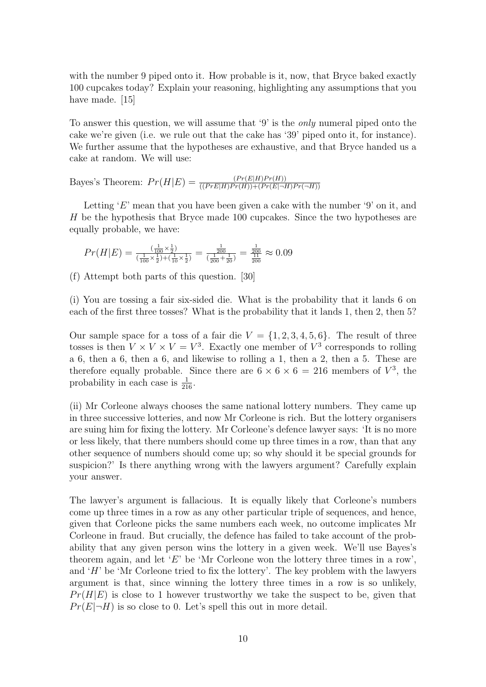with the number 9 piped onto it. How probable is it, now, that Bryce baked exactly 100 cupcakes today? Explain your reasoning, highlighting any assumptions that you have made. [15]

To answer this question, we will assume that '9' is the only numeral piped onto the cake we're given (i.e. we rule out that the cake has '39' piped onto it, for instance). We further assume that the hypotheses are exhaustive, and that Bryce handed us a cake at random. We will use:

Bayes's Theorem:  $Pr(H|E) = \frac{(Pr(E|H)Pr(H))}{((Pr E|H)Pr(H)) + (Pr(E|\neg H)Pr(\neg H))}$ 

Letting 'E' mean that you have been given a cake with the number '9' on it, and H be the hypothesis that Bryce made 100 cupcakes. Since the two hypotheses are equally probable, we have:

$$
Pr(H|E) = \frac{(\frac{1}{100} \times \frac{1}{2})}{(\frac{1}{100} \times \frac{1}{2}) + (\frac{1}{10} \times \frac{1}{2})} = \frac{\frac{1}{200}}{(\frac{1}{200} + \frac{1}{20})} = \frac{\frac{1}{200}}{\frac{111}{200}} \approx 0.09
$$

(f) Attempt both parts of this question. [30]

(i) You are tossing a fair six-sided die. What is the probability that it lands 6 on each of the first three tosses? What is the probability that it lands 1, then 2, then 5?

Our sample space for a toss of a fair die  $V = \{1, 2, 3, 4, 5, 6\}$ . The result of three tosses is then  $V \times V \times V = V^3$ . Exactly one member of  $V^3$  corresponds to rolling a 6, then a 6, then a 6, and likewise to rolling a 1, then a 2, then a 5. These are therefore equally probable. Since there are  $6 \times 6 \times 6 = 216$  members of  $V^3$ , the probability in each case is  $\frac{1}{216}$ .

(ii) Mr Corleone always chooses the same national lottery numbers. They came up in three successive lotteries, and now Mr Corleone is rich. But the lottery organisers are suing him for fixing the lottery. Mr Corleone's defence lawyer says: 'It is no more or less likely, that there numbers should come up three times in a row, than that any other sequence of numbers should come up; so why should it be special grounds for suspicion?' Is there anything wrong with the lawyers argument? Carefully explain your answer.

The lawyer's argument is fallacious. It is equally likely that Corleone's numbers come up three times in a row as any other particular triple of sequences, and hence, given that Corleone picks the same numbers each week, no outcome implicates Mr Corleone in fraud. But crucially, the defence has failed to take account of the probability that any given person wins the lottery in a given week. We'll use Bayes's theorem again, and let  $E'$  be 'Mr Corleone won the lottery three times in a row', and  $H'$  be 'Mr Corleone tried to fix the lottery'. The key problem with the lawyers argument is that, since winning the lottery three times in a row is so unlikely,  $Pr(H|E)$  is close to 1 however trustworthy we take the suspect to be, given that  $Pr(E|\neg H)$  is so close to 0. Let's spell this out in more detail.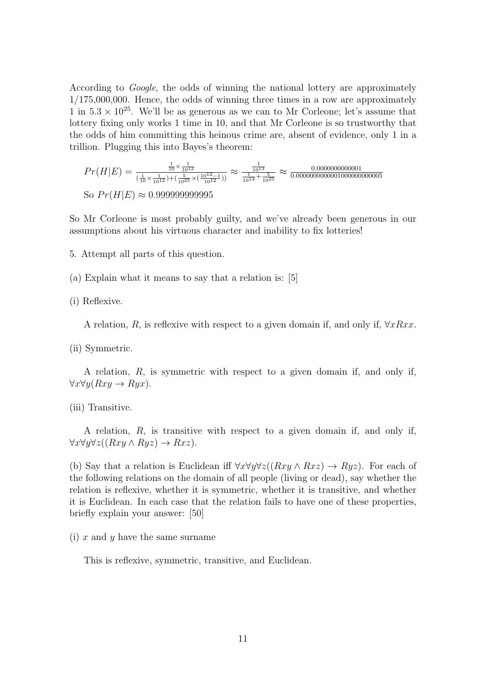According to Google, the odds of winning the national lottery are approximately 1/175,000,000. Hence, the odds of winning three times in a row are approximately 1 in  $5.3 \times 10^{25}$ . We'll be as generous as we can to Mr Corleone; let's assume that lottery fixing only works 1 time in 10, and that Mr Corleone is so trustworthy that the odds of him committing this heinous crime are, absent of evidence, only 1 in a trillion. Plugging this into Bayes's theorem:

P r(H|E) = 1 <sup>10</sup> <sup>×</sup> <sup>1</sup> 1012 ( 1 <sup>10</sup> <sup>×</sup> <sup>1</sup> <sup>1012</sup> )+( <sup>5</sup> <sup>1025</sup> <sup>×</sup>( 1012−1 <sup>1012</sup> )) ≈ 1 1013 1 <sup>1013</sup> <sup>+</sup> <sup>5</sup> 1025 ≈ 0.0000000000001 0.0000000000001000000000005 So P r(H|E) ≈ 0.999999999995

So Mr Corleone is most probably guilty, and we've already been generous in our assumptions about his virtuous character and inability to fix lotteries!

5. Attempt all parts of this question.

(a) Explain what it means to say that a relation is: [5]

(i) Reflexive.

A relation, R, is reflexive with respect to a given domain if, and only if,  $\forall xRxx$ .

(ii) Symmetric.

A relation, R, is symmetric with respect to a given domain if, and only if,  $\forall x \forall y (Rxy \rightarrow Ryx).$ 

(iii) Transitive.

A relation, R, is transitive with respect to a given domain if, and only if,  $\forall x \forall y \forall z ((Rxy \land Ryz) \rightarrow Rxz).$ 

(b) Say that a relation is Euclidean iff  $\forall x \forall y \forall z ((Rxy \land Rxz) \rightarrow Ryz)$ . For each of the following relations on the domain of all people (living or dead), say whether the relation is reflexive, whether it is symmetric, whether it is transitive, and whether it is Euclidean. In each case that the relation fails to have one of these properties, briefly explain your answer: [50]

(i) x and y have the same surname

This is reflexive, symmetric, transitive, and Euclidean.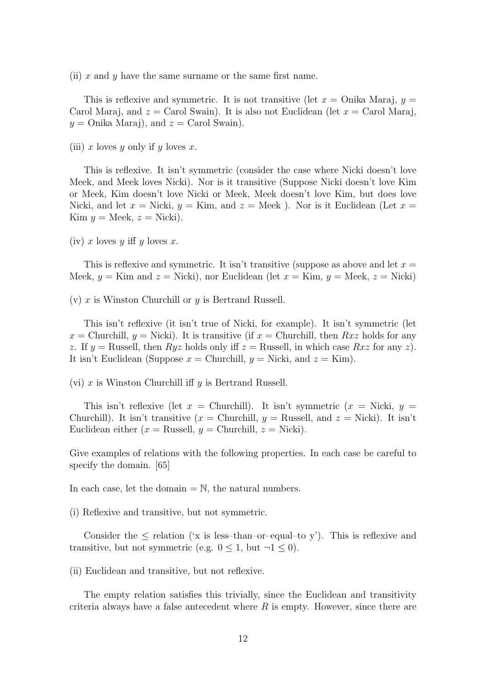(ii)  $x$  and  $y$  have the same surname or the same first name.

This is reflexive and symmetric. It is not transitive (let  $x =$  Onika Maraj,  $y =$ Carol Maraj, and  $z =$  Carol Swain). It is also not Euclidean (let  $x =$  Carol Maraj,  $y =$  Onika Maraj), and  $z =$  Carol Swain).

(iii) x loves y only if y loves x.

This is reflexive. It isn't symmetric (consider the case where Nicki doesn't love Meek, and Meek loves Nicki). Nor is it transitive (Suppose Nicki doesn't love Kim or Meek, Kim doesn't love Nicki or Meek, Meek doesn't love Kim, but does love Nicki, and let  $x =$  Nicki,  $y =$  Kim, and  $z =$  Meek). Nor is it Euclidean (Let  $x =$ Kim  $y = \text{Meek}, z = \text{Nicki}.$ 

(iv) x loves y iff y loves x.

This is reflexive and symmetric. It isn't transitive (suppose as above and let  $x =$ Meek,  $y =$ Kim and  $z =$ Nicki), nor Euclidean (let  $x =$ Kim,  $y =$ Meek,  $z =$ Nicki)

(v) x is Winston Churchill or  $y$  is Bertrand Russell.

This isn't reflexive (it isn't true of Nicki, for example). It isn't symmetric (let  $x =$  Churchill,  $y =$  Nicki). It is transitive (if  $x =$  Churchill, then  $Rxz$  holds for any z. If  $y =$  Russell, then  $Ryz$  holds only iff  $z =$  Russell, in which case  $Rxz$  for any z). It isn't Euclidean (Suppose  $x =$  Churchill,  $y =$  Nicki, and  $z =$  Kim).

(vi) x is Winston Churchill iff  $y$  is Bertrand Russell.

This isn't reflexive (let  $x =$  Churchill). It isn't symmetric  $(x =$  Nicki,  $y =$ Churchill). It isn't transitive  $(x =$  Churchill,  $y =$  Russell, and  $z =$  Nicki). It isn't Euclidean either ( $x =$  Russell,  $y =$  Churchill,  $z =$  Nicki).

Give examples of relations with the following properties. In each case be careful to specify the domain. [65]

In each case, let the domain  $= \mathbb{N}$ , the natural numbers.

(i) Reflexive and transitive, but not symmetric.

Consider the  $\leq$  relation ('x is less-than-or-equal-to y'). This is reflexive and transitive, but not symmetric (e.g.  $0 \leq 1$ , but  $\neg 1 \leq 0$ ).

(ii) Euclidean and transitive, but not reflexive.

The empty relation satisfies this trivially, since the Euclidean and transitivity criteria always have a false antecedent where  $R$  is empty. However, since there are